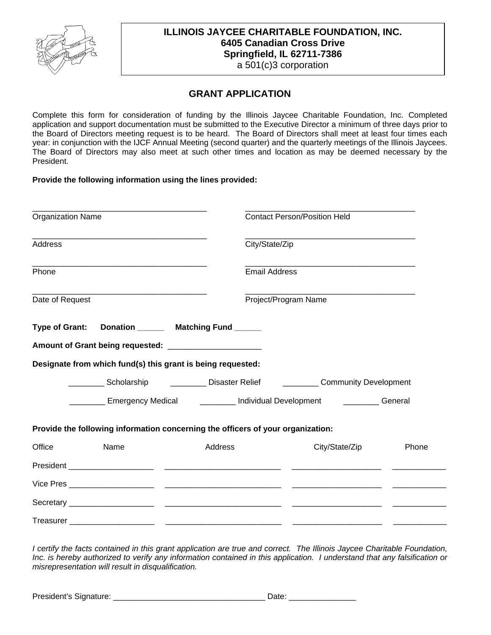

# **ILLINOIS JAYCEE CHARITABLE FOUNDATION, INC. 6405 Canadian Cross Drive Springfield, IL 62711-7386**

a 501(c)3 corporation

## **GRANT APPLICATION**

Complete this form for consideration of funding by the Illinois Jaycee Charitable Foundation, Inc. Completed application and support documentation must be submitted to the Executive Director a minimum of three days prior to the Board of Directors meeting request is to be heard. The Board of Directors shall meet at least four times each year: in conjunction with the IJCF Annual Meeting (second quarter) and the quarterly meetings of the Illinois Jaycees. The Board of Directors may also meet at such other times and location as may be deemed necessary by the President.

**Provide the following information using the lines provided:** 

| <b>Organization Name</b><br><b>Address</b>                                                                                               |                                                                                            |         | <b>Contact Person/Position Held</b><br>City/State/Zip |                                                                                            |       |       |
|------------------------------------------------------------------------------------------------------------------------------------------|--------------------------------------------------------------------------------------------|---------|-------------------------------------------------------|--------------------------------------------------------------------------------------------|-------|-------|
|                                                                                                                                          |                                                                                            |         |                                                       |                                                                                            |       | Phone |
| <u> 1980 - Johann Barbara, martxa alemaniar amerikan basar da da a shekara a shekara a shekara a shekara a shekar</u><br>Date of Request |                                                                                            |         | Project/Program Name                                  |                                                                                            |       |       |
| <b>Type of Grant:</b>                                                                                                                    | Donation _______ Matching Fund ______                                                      |         |                                                       |                                                                                            |       |       |
|                                                                                                                                          | Amount of Grant being requested: ______________________                                    |         |                                                       |                                                                                            |       |       |
|                                                                                                                                          | Designate from which fund(s) this grant is being requested:                                |         |                                                       |                                                                                            |       |       |
|                                                                                                                                          | ___________ Scholarship ______________ Disaster Relief _____________ Community Development |         |                                                       |                                                                                            |       |       |
|                                                                                                                                          |                                                                                            |         |                                                       | Emergency Medical <b>Constanting Constructs</b> Individual Development Constanting Ceneral |       |       |
|                                                                                                                                          | Provide the following information concerning the officers of your organization:            |         |                                                       |                                                                                            |       |       |
| Office                                                                                                                                   | Name                                                                                       | Address |                                                       | City/State/Zip                                                                             | Phone |       |
|                                                                                                                                          |                                                                                            |         |                                                       |                                                                                            |       |       |
|                                                                                                                                          |                                                                                            |         |                                                       |                                                                                            |       |       |
|                                                                                                                                          |                                                                                            |         |                                                       |                                                                                            |       |       |
|                                                                                                                                          |                                                                                            |         |                                                       |                                                                                            |       |       |

*I certify the facts contained in this grant application are true and correct. The Illinois Jaycee Charitable Foundation, Inc. is hereby authorized to verify any information contained in this application. I understand that any falsification or misrepresentation will result in disqualification.* 

President's Signature: \_\_\_\_\_\_\_\_\_\_\_\_\_\_\_\_\_\_\_\_\_\_\_\_\_\_\_\_\_\_\_\_\_\_ Date: \_\_\_\_\_\_\_\_\_\_\_\_\_\_\_